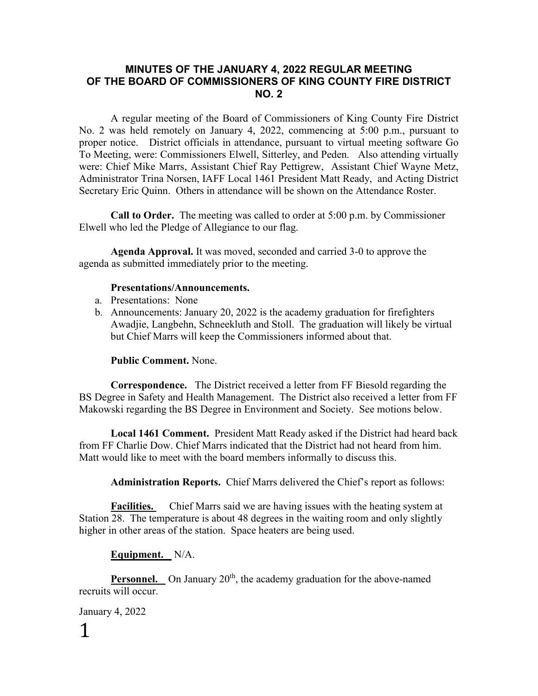# **MINUTES OF THE JANUARY 4, 2022 REGULAR MEETING OF THE BOARD OF COMMISSIONERS OF KING COUNTY FIRE DISTRICT NO. 2**

A regular meeting of the Board of Commissioners of King County Fire District No. 2 was held remotely on January 4, 2022, commencing at 5:00 p.m., pursuant to proper notice. District officials in attendance, pursuant to virtual meeting software Go To Meeting, were: Commissioners Elwell, Sitterley, and Peden. Also attending virtually were: Chief Mike Marrs, Assistant Chief Ray Pettigrew, Assistant Chief Wayne Metz, Administrator Trina Norsen, IAFF Local 1461 President Matt Ready, and Acting District Secretary Eric Quinn. Others in attendance will be shown on the Attendance Roster.

**Call to Order.** The meeting was called to order at 5:00 p.m. by Commissioner Elwell who led the Pledge of Allegiance to our flag.

**Agenda Approval.** It was moved, seconded and carried 3-0 to approve the agenda as submitted immediately prior to the meeting.

#### **Presentations/Announcements.**

- a. Presentations: None
- b. Announcements: January 20, 2022 is the academy graduation for firefighters Awadjie, Langbehn, Schneekluth and Stoll. The graduation will likely be virtual but Chief Marrs will keep the Commissioners informed about that.

### **Public Comment.** None.

**Correspondence.** The District received a letter from FF Biesold regarding the BS Degree in Safety and Health Management. The District also received a letter from FF Makowski regarding the BS Degree in Environment and Society. See motions below.

**Local 1461 Comment.** President Matt Ready asked if the District had heard back from FF Charlie Dow. Chief Marrs indicated that the District had not heard from him. Matt would like to meet with the board members informally to discuss this.

**Administration Reports.** Chief Marrs delivered the Chief's report as follows:

**Facilities.** Chief Marrs said we are having issues with the heating system at Station 28. The temperature is about 48 degrees in the waiting room and only slightly higher in other areas of the station. Space heaters are being used.

### **Equipment.** N/A.

**Personnel.** On January 20<sup>th</sup>, the academy graduation for the above-named recruits will occur.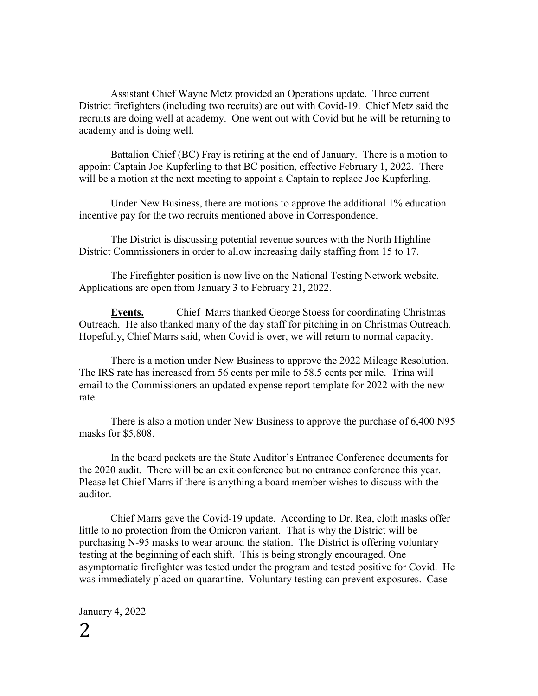Assistant Chief Wayne Metz provided an Operations update. Three current District firefighters (including two recruits) are out with Covid-19. Chief Metz said the recruits are doing well at academy. One went out with Covid but he will be returning to academy and is doing well.

Battalion Chief (BC) Fray is retiring at the end of January. There is a motion to appoint Captain Joe Kupferling to that BC position, effective February 1, 2022. There will be a motion at the next meeting to appoint a Captain to replace Joe Kupferling.

Under New Business, there are motions to approve the additional 1% education incentive pay for the two recruits mentioned above in Correspondence.

The District is discussing potential revenue sources with the North Highline District Commissioners in order to allow increasing daily staffing from 15 to 17.

The Firefighter position is now live on the National Testing Network website. Applications are open from January 3 to February 21, 2022.

**Events.** Chief Marrs thanked George Stoess for coordinating Christmas Outreach. He also thanked many of the day staff for pitching in on Christmas Outreach. Hopefully, Chief Marrs said, when Covid is over, we will return to normal capacity.

There is a motion under New Business to approve the 2022 Mileage Resolution. The IRS rate has increased from 56 cents per mile to 58.5 cents per mile. Trina will email to the Commissioners an updated expense report template for 2022 with the new rate.

There is also a motion under New Business to approve the purchase of 6,400 N95 masks for \$5,808.

In the board packets are the State Auditor's Entrance Conference documents for the 2020 audit. There will be an exit conference but no entrance conference this year. Please let Chief Marrs if there is anything a board member wishes to discuss with the auditor.

Chief Marrs gave the Covid-19 update. According to Dr. Rea, cloth masks offer little to no protection from the Omicron variant. That is why the District will be purchasing N-95 masks to wear around the station. The District is offering voluntary testing at the beginning of each shift. This is being strongly encouraged. One asymptomatic firefighter was tested under the program and tested positive for Covid. He was immediately placed on quarantine. Voluntary testing can prevent exposures. Case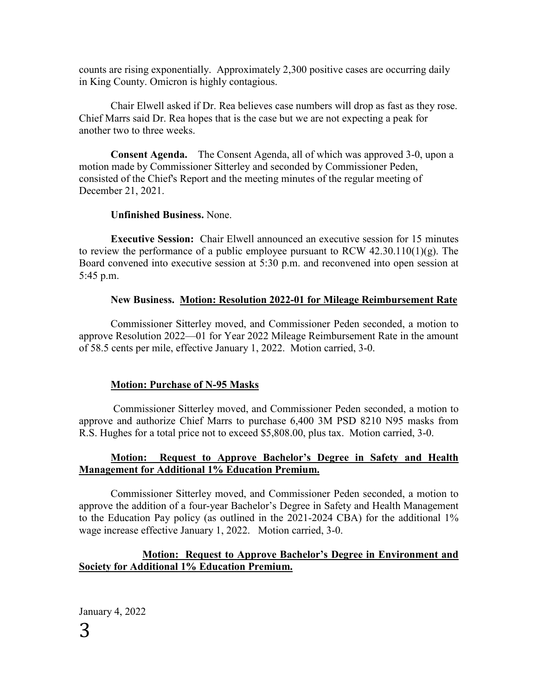counts are rising exponentially. Approximately 2,300 positive cases are occurring daily in King County. Omicron is highly contagious.

Chair Elwell asked if Dr. Rea believes case numbers will drop as fast as they rose. Chief Marrs said Dr. Rea hopes that is the case but we are not expecting a peak for another two to three weeks.

**Consent Agenda.** The Consent Agenda, all of which was approved 3-0, upon a motion made by Commissioner Sitterley and seconded by Commissioner Peden, consisted of the Chief's Report and the meeting minutes of the regular meeting of December 21, 2021.

# **Unfinished Business.** None.

**Executive Session:** Chair Elwell announced an executive session for 15 minutes to review the performance of a public employee pursuant to RCW  $42.30.110(1)(g)$ . The Board convened into executive session at 5:30 p.m. and reconvened into open session at 5:45 p.m.

# **New Business. Motion: Resolution 2022-01 for Mileage Reimbursement Rate**

Commissioner Sitterley moved, and Commissioner Peden seconded, a motion to approve Resolution 2022—01 for Year 2022 Mileage Reimbursement Rate in the amount of 58.5 cents per mile, effective January 1, 2022. Motion carried, 3-0.

# **Motion: Purchase of N-95 Masks**

Commissioner Sitterley moved, and Commissioner Peden seconded, a motion to approve and authorize Chief Marrs to purchase 6,400 3M PSD 8210 N95 masks from R.S. Hughes for a total price not to exceed \$5,808.00, plus tax. Motion carried, 3-0.

# **Motion: Request to Approve Bachelor's Degree in Safety and Health Management for Additional 1% Education Premium.**

Commissioner Sitterley moved, and Commissioner Peden seconded, a motion to approve the addition of a four-year Bachelor's Degree in Safety and Health Management to the Education Pay policy (as outlined in the 2021-2024 CBA) for the additional 1% wage increase effective January 1, 2022. Motion carried, 3-0.

# **Motion: Request to Approve Bachelor's Degree in Environment and Society for Additional 1% Education Premium.**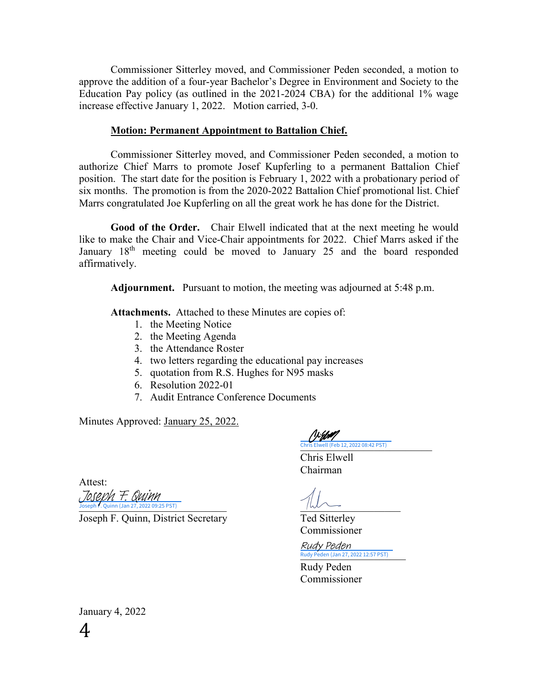Commissioner Sitterley moved, and Commissioner Peden seconded, a motion to approve the addition of a four-year Bachelor's Degree in Environment and Society to the Education Pay policy (as outlined in the 2021-2024 CBA) for the additional 1% wage increase effective January 1, 2022. Motion carried, 3-0.

### **Motion: Permanent Appointment to Battalion Chief.**

Commissioner Sitterley moved, and Commissioner Peden seconded, a motion to authorize Chief Marrs to promote Josef Kupferling to a permanent Battalion Chief position. The start date for the position is February 1, 2022 with a probationary period of six months. The promotion is from the 2020-2022 Battalion Chief promotional list. Chief Marrs congratulated Joe Kupferling on all the great work he has done for the District.

**Good of the Order.** Chair Elwell indicated that at the next meeting he would like to make the Chair and Vice-Chair appointments for 2022. Chief Marrs asked if the January  $18<sup>th</sup>$  meeting could be moved to January 25 and the board responded affirmatively.

**Adjournment.** Pursuant to motion, the meeting was adjourned at 5:48 p.m.

**Attachments.** Attached to these Minutes are copies of:

- 1. the Meeting Notice
- 2. the Meeting Agenda
- 3. the Attendance Roster
- 4. two letters regarding the educational pay increases
- 5. quotation from R.S. Hughes for N95 masks
- 6. Resolution 2022-01
- 7. Audit Entrance Conference Documents

Minutes Approved: January 25, 2022.

Attest:

 $Joseph$  F. Quinn (Jan 27, 2022 09:25 PST) [Joseph F. Quinn](https://na4.documents.adobe.com/verifier?tx=CBJCHBCAABAAkEhL-mLG95JTgbm2MyOph-Muzh8v9XCK)

Joseph F. Quinn, District Secretary Ted Sitterley

'\}{**}}#** [\\_\\_\\_\\_\\_\\_\\_\\_\\_\\_\\_\\_\\_\\_\\_\\_\\_\\_\\_\\_\\_\\_\\_\\_\\_](https://na4.documents.adobe.com/verifier?tx=CBJCHBCAABAAkEhL-mLG95JTgbm2MyOph-Muzh8v9XCK) Chris Elwell (Feb 12, 2022 08:42 PST)

Chris Elwell Chairman

Commissioner

Rudy Peden (Jan 27, 2022 12:57 PST) Rudy Peden

Rudy Peden Commissioner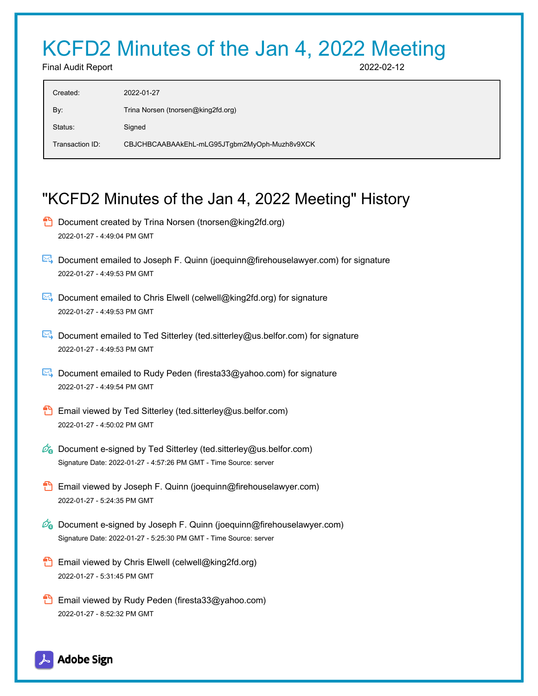# KCFD2 Minutes of the Jan 4, 2022 Meeting

Final Audit Report 2022-02-12

| Created:        | 2022-01-27                                   |
|-----------------|----------------------------------------------|
| By:             | Trina Norsen (tnorsen@king2fd.org)           |
| Status:         | Signed                                       |
| Transaction ID: | CBJCHBCAABAAkEhL-mLG95JTgbm2MyOph-Muzh8v9XCK |

# "KCFD2 Minutes of the Jan 4, 2022 Meeting" History

- **D** Document created by Trina Norsen (tnorsen@king2fd.org) 2022-01-27 - 4:49:04 PM GMT
- Document emailed to Joseph F. Quinn (joequinn@firehouselawyer.com) for signature 2022-01-27 - 4:49:53 PM GMT
- Document emailed to Chris Elwell (celwell@king2fd.org) for signature 2022-01-27 - 4:49:53 PM GMT
- Document emailed to Ted Sitterley (ted.sitterley@us.belfor.com) for signature 2022-01-27 - 4:49:53 PM GMT
- **E**. Document emailed to Rudy Peden (firesta33@yahoo.com) for signature 2022-01-27 - 4:49:54 PM GMT
- **Email viewed by Ted Sitterley (ted.sitterley@us.belfor.com)** 2022-01-27 - 4:50:02 PM GMT
- $\mathscr{O}_\bullet$  Document e-signed by Ted Sitterley (ted.sitterley@us.belfor.com) Signature Date: 2022-01-27 - 4:57:26 PM GMT - Time Source: server
- **Email viewed by Joseph F. Quinn (joequinn@firehouselawyer.com)** 2022-01-27 - 5:24:35 PM GMT
- $\mathscr{O}_\bullet$  Document e-signed by Joseph F. Quinn (joequinn@firehouselawyer.com) Signature Date: 2022-01-27 - 5:25:30 PM GMT - Time Source: server
- **Email viewed by Chris Elwell (celwell@king2fd.org)** 2022-01-27 - 5:31:45 PM GMT
- **Email viewed by Rudy Peden (firesta33@yahoo.com)** 2022-01-27 - 8:52:32 PM GMT